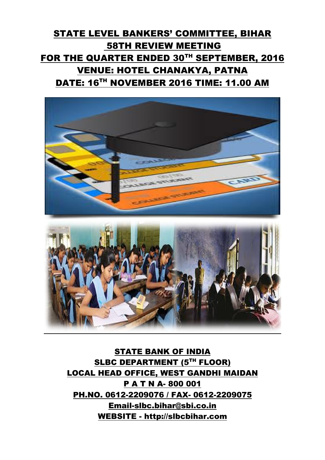## STATE LEVEL BANKERS' COMMITTEE, BIHAR 58TH REVIEW MEETING FOR THE QUARTER ENDED 30TH SEPTEMBER, 2016 VENUE: HOTEL CHANAKYA, PATNA DATE: 16<sup>TH</sup> NOVEMBER 2016 TIME: 11.00 AM



STATE BANK OF INDIA SLBC DEPARTMENT (5TH FLOOR) LOCAL HEAD OFFICE, WEST GANDHI MAIDAN P A T N A- 800 001 PH.NO. 0612-2209076 / FAX- 0612-2209075 [Email-slbc.bihar@sbi.co.in](mailto:Email-slbc.bihar@sbi.co.in) WEBSITE - [http://slbcbihar.com](http://slbcbihar.com/)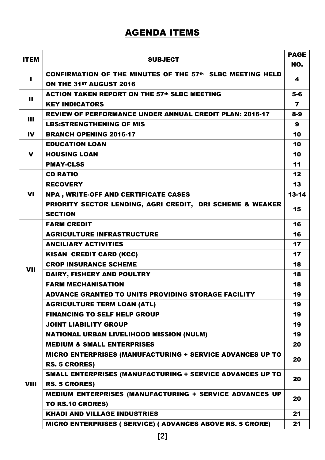## AGENDA ITEMS

| <b>ITEM</b>    | <b>SUBJECT</b>                                                                              | <b>PAGE</b>    |
|----------------|---------------------------------------------------------------------------------------------|----------------|
|                |                                                                                             | NO.            |
| $\blacksquare$ | <b>CONFIRMATION OF THE MINUTES OF THE 57th SLBC MEETING HELD</b><br>ON THE 31ST AUGUST 2016 | 4              |
| $\mathbf{H}$   | <b>ACTION TAKEN REPORT ON THE 57th SLBC MEETING</b>                                         | $5-6$          |
|                | <b>KEY INDICATORS</b>                                                                       | $\overline{7}$ |
| $\mathbf{H}$   | <b>REVIEW OF PERFORMANCE UNDER ANNUAL CREDIT PLAN: 2016-17</b>                              | $8-9$          |
|                | <b>LBS:STRENGTHENING OF MIS</b>                                                             | 9              |
| <b>IV</b>      | <b>BRANCH OPENING 2016-17</b>                                                               | 10             |
|                | <b>EDUCATION LOAN</b>                                                                       | 10             |
| $\mathbf v$    | <b>HOUSING LOAN</b>                                                                         | 10             |
|                | <b>PMAY-CLSS</b>                                                                            | 11             |
|                | <b>CD RATIO</b>                                                                             | 12             |
|                | <b>RECOVERY</b>                                                                             | 13             |
| <b>VI</b>      | <b>NPA, WRITE-OFF AND CERTIFICATE CASES</b>                                                 | $13 - 14$      |
|                | PRIORITY SECTOR LENDING, AGRI CREDIT, DRI SCHEME & WEAKER                                   | 15             |
|                | <b>SECTION</b>                                                                              |                |
|                | <b>FARM CREDIT</b>                                                                          | 16             |
|                | <b>AGRICULTURE INFRASTRUCTURE</b>                                                           | 16             |
|                | <b>ANCILIARY ACTIVITIES</b>                                                                 | 17             |
|                | <b>KISAN CREDIT CARD (KCC)</b>                                                              | 17             |
| <b>VII</b>     | <b>CROP INSURANCE SCHEME</b>                                                                | 18             |
|                | DAIRY, FISHERY AND POULTRY                                                                  | 18             |
|                | <b>FARM MECHANISATION</b>                                                                   | 18             |
|                | ADVANCE GRANTED TO UNITS PROVIDING STORAGE FACILITY                                         | 19             |
|                | <b>AGRICULTURE TERM LOAN (ATL)</b>                                                          | 19             |
|                | <b>FINANCING TO SELF HELP GROUP</b>                                                         | 19             |
|                | <b>JOINT LIABILITY GROUP</b>                                                                | 19             |
|                | <b>NATIONAL URBAN LIVELIHOOD MISSION (NULM)</b>                                             | 19             |
|                | <b>MEDIUM &amp; SMALL ENTERPRISES</b>                                                       | 20             |
|                | MICRO ENTERPRISES (MANUFACTURING + SERVICE ADVANCES UP TO                                   | 20             |
|                | <b>RS. 5 CRORES)</b>                                                                        |                |
|                | SMALL ENTERPRISES (MANUFACTURING + SERVICE ADVANCES UP TO                                   | 20             |
| <b>VIII</b>    | <b>RS. 5 CRORES)</b>                                                                        |                |
|                | <b>MEDIUM ENTERPRISES (MANUFACTURING + SERVICE ADVANCES UP</b>                              | 20             |
|                | TO RS.10 CRORES)                                                                            |                |
|                | <b>KHADI AND VILLAGE INDUSTRIES</b>                                                         | 21             |
|                | MICRO ENTERPRISES ( SERVICE) ( ADVANCES ABOVE RS. 5 CRORE)                                  | 21             |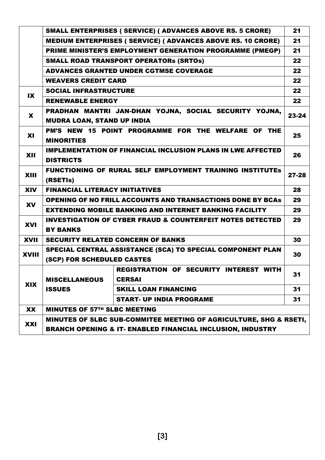|              | SMALL ENTERPRISES ( SERVICE) ( ADVANCES ABOVE RS. 5 CRORE)                                     |                                                                     |       |  |  |
|--------------|------------------------------------------------------------------------------------------------|---------------------------------------------------------------------|-------|--|--|
|              |                                                                                                | <b>MEDIUM ENTERPRISES ( SERVICE) ( ADVANCES ABOVE RS. 10 CRORE)</b> | 21    |  |  |
|              |                                                                                                | PRIME MINISTER'S EMPLOYMENT GENERATION PROGRAMME (PMEGP)            | 21    |  |  |
|              |                                                                                                | <b>SMALL ROAD TRANSPORT OPERATORS (SRTOS)</b>                       | 22    |  |  |
|              |                                                                                                | <b>ADVANCES GRANTED UNDER CGTMSE COVERAGE</b>                       | 22    |  |  |
|              | <b>WEAVERS CREDIT CARD</b>                                                                     |                                                                     |       |  |  |
|              | <b>SOCIAL INFRASTRUCTURE</b><br>$\mathbf{X}$                                                   |                                                                     |       |  |  |
|              | <b>RENEWABLE ENERGY</b>                                                                        |                                                                     |       |  |  |
| X            | <b>MUDRA LOAN, STAND UP INDIA</b>                                                              | PRADHAN MANTRI JAN-DHAN YOJNA, SOCIAL SECURITY YOJNA,               | 23-24 |  |  |
| <b>XI</b>    | <b>MINORITIES</b>                                                                              | PM'S NEW 15 POINT PROGRAMME FOR THE WELFARE OF THE                  | 25    |  |  |
| XII          | <b>IMPLEMENTATION OF FINANCIAL INCLUSION PLANS IN LWE AFFECTED</b><br><b>DISTRICTS</b>         |                                                                     |       |  |  |
| XIII         | <b>FUNCTIONING OF RURAL SELF EMPLOYMENT TRAINING INSTITUTES</b><br>$27 - 28$<br>(RSETIS)       |                                                                     |       |  |  |
| <b>XIV</b>   | <b>FINANCIAL LITERACY INITIATIVES</b>                                                          |                                                                     |       |  |  |
| <b>XV</b>    | <b>OPENING OF NO FRILL ACCOUNTS AND TRANSACTIONS DONE BY BCAS</b>                              |                                                                     |       |  |  |
|              |                                                                                                | <b>EXTENDING MOBILE BANKING AND INTERNET BANKING FACILITY</b>       | 29    |  |  |
| <b>XVI</b>   | <b>INVESTIGATION OF CYBER FRAUD &amp; COUNTERFEIT NOTES DETECTED</b><br><b>BY BANKS</b>        |                                                                     |       |  |  |
| <b>XVII</b>  |                                                                                                | <b>SECURITY RELATED CONCERN OF BANKS</b>                            | 30    |  |  |
| <b>XVIII</b> | SPECIAL CENTRAL ASSISTANCE (SCA) TO SPECIAL COMPONENT PLAN<br>30<br>(SCP) FOR SCHEDULED CASTES |                                                                     |       |  |  |
|              |                                                                                                | <b>REGISTRATION OF SECURITY INTEREST WITH</b>                       |       |  |  |
|              | <b>MISCELLANEOUS</b>                                                                           | <b>CERSAI</b>                                                       | 31    |  |  |
| <b>XIX</b>   | <b>ISSUES</b>                                                                                  | <b>SKILL LOAN FINANCING</b>                                         | 31    |  |  |
|              |                                                                                                | <b>START- UP INDIA PROGRAME</b>                                     | 31    |  |  |
| XX           | <b>MINUTES OF 57TH SLBC MEETING</b>                                                            |                                                                     |       |  |  |
| XXI          | MINUTES OF SLBC SUB-COMMITEE MEETING OF AGRICULTURE, SHG & RSETI,                              |                                                                     |       |  |  |
|              | <b>BRANCH OPENING &amp; IT- ENABLED FINANCIAL INCLUSION, INDUSTRY</b>                          |                                                                     |       |  |  |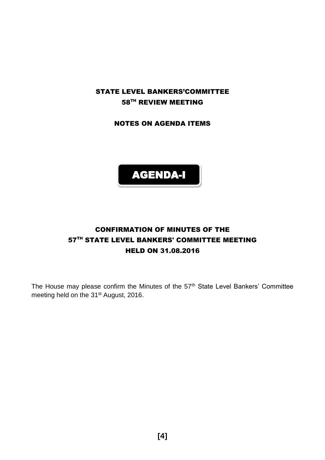## STATE LEVEL BANKERS'COMMITTEE 58TH REVIEW MEETING

NOTES ON AGENDA ITEMS



## CONFIRMATION OF MINUTES OF THE 57<sup>TH</sup> STATE LEVEL BANKERS' COMMITTEE MEETING HELD ON 31.08.2016

The House may please confirm the Minutes of the 57<sup>th</sup> State Level Bankers' Committee meeting held on the 31<sup>st</sup> August, 2016.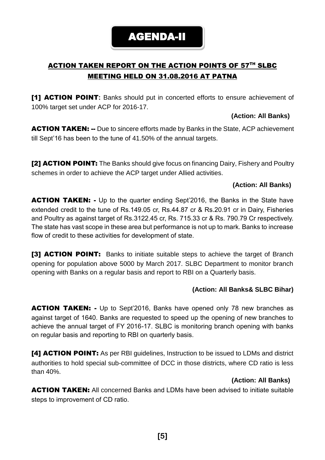## ACTION TAKEN REPORT ON THE ACTION POINTS OF 57TH SLBC MEETING HELD ON 31.08.2016 AT PATNA

[1] ACTION POINT**:** Banks should put in concerted efforts to ensure achievement of 100% target set under ACP for 2016-17.

#### **(Action: All Banks)**

**ACTION TAKEN: --** Due to sincere efforts made by Banks in the State, ACP achievement till Sept'16 has been to the tune of 41.50% of the annual targets.

[2] **ACTION POINT:** The Banks should give focus on financing Dairy, Fishery and Poultry schemes in order to achieve the ACP target under Allied activities.

#### **(Action: All Banks)**

**ACTION TAKEN:** - Up to the quarter ending Sept'2016, the Banks in the State have extended credit to the tune of Rs.149.05 cr, Rs.44.87 cr & Rs.20.91 cr in Dairy, Fisheries and Poultry as against target of Rs.3122.45 cr, Rs. 715.33 cr & Rs. 790.79 Cr respectively. The state has vast scope in these area but performance is not up to mark. Banks to increase flow of credit to these activities for development of state.

**[3] ACTION POINT:** Banks to initiate suitable steps to achieve the target of Branch opening for population above 5000 by March 2017. SLBC Department to monitor branch opening with Banks on a regular basis and report to RBI on a Quarterly basis.

#### **(Action: All Banks& SLBC Bihar)**

**ACTION TAKEN:** - Up to Sept'2016, Banks have opened only 78 new branches as against target of 1640. Banks are requested to speed up the opening of new branches to achieve the annual target of FY 2016-17. SLBC is monitoring branch opening with banks on regular basis and reporting to RBI on quarterly basis.

[4] **ACTION POINT:** As per RBI guidelines, Instruction to be issued to LDMs and district authorities to hold special sub-committee of DCC in those districts, where CD ratio is less than 40%.

#### **(Action: All Banks)**

**ACTION TAKEN:** All concerned Banks and LDMs have been advised to initiate suitable steps to improvement of CD ratio.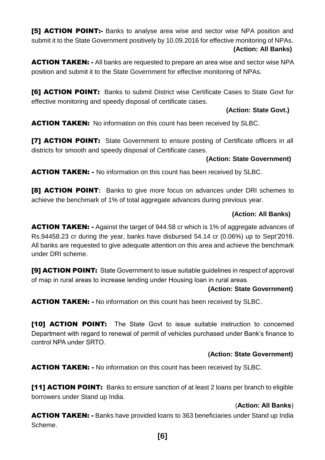[5] **ACTION POINT:-** Banks to analyse area wise and sector wise NPA position and submit it to the State Government positively by 10.09.2016 for effective monitoring of NPAs. **(Action: All Banks)**

**ACTION TAKEN:** - All banks are requested to prepare an area wise and sector wise NPA position and submit it to the State Government for effective monitoring of NPAs.

[6] **ACTION POINT:** Banks to submit District wise Certificate Cases to State Govt for effective monitoring and speedy disposal of certificate cases.

#### **(Action: State Govt.)**

**ACTION TAKEN:** No information on this count has been received by SLBC.

**[7] ACTION POINT:** State Government to ensure posting of Certificate officers in all districts for smooth and speedy disposal of Certificate cases.

#### **(Action: State Government)**

**ACTION TAKEN:** - No information on this count has been received by SLBC.

[8] ACTION POINT**:** Banks to give more focus on advances under DRI schemes to achieve the benchmark of 1% of total aggregate advances during previous year.

#### **(Action: All Banks)**

**ACTION TAKEN:** - Against the target of 944.58 cr which is 1% of aggregate advances of Rs.94458.23 cr during the year, banks have disbursed 54.14 cr (0.06%) up to Sept'2016. All banks are requested to give adequate attention on this area and achieve the benchmark under DRI scheme.

[9] **ACTION POINT:** State Government to issue suitable guidelines in respect of approval of map in rural areas to increase lending under Housing loan in rural areas.

#### **(Action: State Government)**

**ACTION TAKEN: -** No information on this count has been received by SLBC.

**[10] ACTION POINT:** The State Govt to issue suitable instruction to concerned Department with regard to renewal of permit of vehicles purchased under Bank's finance to control NPA under SRTO.

#### **(Action: State Government)**

ACTION TAKEN: - No information on this count has been received by SLBC.

[11] ACTION POINT: Banks to ensure sanction of at least 2 loans per branch to eligible borrowers under Stand up India.

#### (**Action: All Banks**)

**ACTION TAKEN: -** Banks have provided loans to 363 beneficiaries under Stand up India Scheme.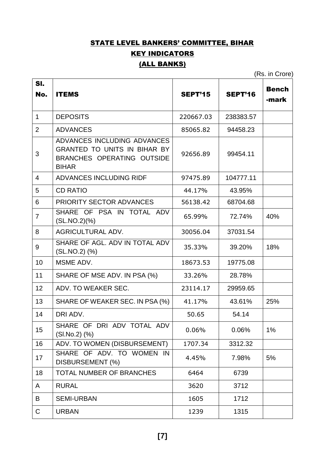## STATE LEVEL BANKERS' COMMITTEE, BIHAR **KEY INDICATORS** (ALL BANKS)

(Rs. in Crore)

| SI.            |                                                                                                                  |           |                |                       |
|----------------|------------------------------------------------------------------------------------------------------------------|-----------|----------------|-----------------------|
| No.            | <b>ITEMS</b>                                                                                                     | SEPT'15   | <b>SEPT'16</b> | <b>Bench</b><br>-mark |
| $\mathbf{1}$   | <b>DEPOSITS</b>                                                                                                  | 220667.03 | 238383.57      |                       |
| 2              | <b>ADVANCES</b>                                                                                                  | 85065.82  | 94458.23       |                       |
| 3              | ADVANCES INCLUDING ADVANCES<br><b>GRANTED TO UNITS IN BIHAR BY</b><br>BRANCHES OPERATING OUTSIDE<br><b>BIHAR</b> | 92656.89  | 99454.11       |                       |
| 4              | ADVANCES INCLUDING RIDF                                                                                          | 97475.89  | 104777.11      |                       |
| 5              | <b>CD RATIO</b>                                                                                                  | 44.17%    | 43.95%         |                       |
| 6              | <b>PRIORITY SECTOR ADVANCES</b>                                                                                  | 56138.42  | 68704.68       |                       |
| $\overline{7}$ | SHARE OF PSA IN TOTAL ADV<br>(SLMO.2)(%)                                                                         | 65.99%    | 72.74%         | 40%                   |
| 8              | <b>AGRICULTURAL ADV.</b>                                                                                         | 30056.04  | 37031.54       |                       |
| 9              | SHARE OF AGL, ADV IN TOTAL ADV<br>(SL.NO.2) (%)                                                                  | 35.33%    | 39.20%         | 18%                   |
| 10             | MSME ADV.                                                                                                        | 18673.53  | 19775.08       |                       |
| 11             | SHARE OF MSE ADV. IN PSA (%)                                                                                     | 33.26%    | 28.78%         |                       |
| 12             | ADV. TO WEAKER SEC.                                                                                              | 23114.17  | 29959.65       |                       |
| 13             | SHARE OF WEAKER SEC. IN PSA (%)                                                                                  | 41.17%    | 43.61%         | 25%                   |
| 14             | DRI ADV.                                                                                                         | 50.65     | 54.14          |                       |
| 15             | SHARE OF DRI ADV TOTAL ADV<br>$(SI.No.2)$ $(\%)$                                                                 | 0.06%     | 0.06%          | 1%                    |
| 16             | ADV. TO WOMEN (DISBURSEMENT)                                                                                     | 1707.34   | 3312.32        |                       |
| 17             | SHARE OF ADV. TO WOMEN IN<br>DISBURSEMENT (%)                                                                    | 4.45%     | 7.98%          | 5%                    |
| 18             | TOTAL NUMBER OF BRANCHES                                                                                         | 6464      | 6739           |                       |
| A              | <b>RURAL</b>                                                                                                     | 3620      | 3712           |                       |
| B              | <b>SEMI-URBAN</b>                                                                                                | 1605      | 1712           |                       |
| $\mathsf C$    | <b>URBAN</b>                                                                                                     | 1239      | 1315           |                       |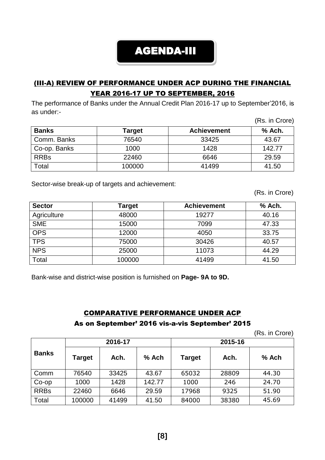## AGENDA-III

## (III-A) REVIEW OF PERFORMANCE UNDER ACP DURING THE FINANCIAL YEAR 2016-17 UP TO SEPTEMBER, 2016

The performance of Banks under the Annual Credit Plan 2016-17 up to September'2016, is as under:-  $(D_2, \ldots, D_{\text{mean}})$ 

|              |        |                    | (RS. In Grore) |
|--------------|--------|--------------------|----------------|
| <b>Banks</b> | Target | <b>Achievement</b> | % Ach.         |
| Comm. Banks  | 76540  | 33425              | 43.67          |
| Co-op. Banks | 1000   | 1428               | 142.77         |
| <b>RRBs</b>  | 22460  | 6646               | 29.59          |
| Total        | 100000 | 41499              | 41.50          |

Sector-wise break-up of targets and achievement:

(Rs. in Crore)

| <b>Sector</b> | Target | <b>Achievement</b> | % Ach. |
|---------------|--------|--------------------|--------|
| Agriculture   | 48000  | 19277              | 40.16  |
| <b>SME</b>    | 15000  | 7099               | 47.33  |
| <b>OPS</b>    | 12000  | 4050               | 33.75  |
| <b>TPS</b>    | 75000  | 30426              | 40.57  |
| <b>NPS</b>    | 25000  | 11073              | 44.29  |
| Total         | 100000 | 41499              | 41.50  |

Bank-wise and district-wise position is furnished on **Page- 9A to 9D.**

# COMPARATIVE PERFORMANCE UNDER ACP

#### As on September' 2016 vis-a-vis September' 2015

(Rs. in Crore)

|              | 2016-17 |       |        | 2015-16       |       |       |
|--------------|---------|-------|--------|---------------|-------|-------|
| <b>Banks</b> | Target  | Ach.  | % Ach  | <b>Target</b> | Ach.  | % Ach |
| Comm         | 76540   | 33425 | 43.67  | 65032         | 28809 | 44.30 |
| $Co$ -op     | 1000    | 1428  | 142.77 | 1000          | 246   | 24.70 |
| <b>RRBs</b>  | 22460   | 6646  | 29.59  | 17968         | 9325  | 51.90 |
| Total        | 100000  | 41499 | 41.50  | 84000         | 38380 | 45.69 |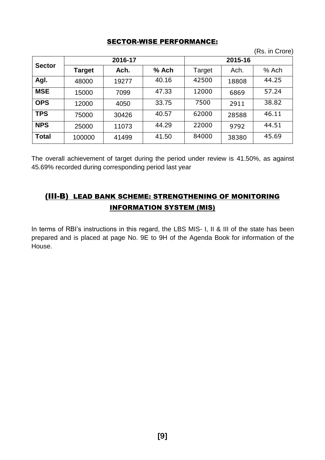#### SECTOR-WISE PERFORMANCE:

(Rs. in Crore)

|               | 2016-17 |       |       | 2015-16 |       |         |
|---------------|---------|-------|-------|---------|-------|---------|
| <b>Sector</b> | Target  | Ach.  | % Ach | Target  | Ach.  | $%$ Ach |
| Agl.          | 48000   | 19277 | 40.16 | 42500   | 18808 | 44.25   |
| <b>MSE</b>    | 15000   | 7099  | 47.33 | 12000   | 6869  | 57.24   |
| <b>OPS</b>    | 12000   | 4050  | 33.75 | 7500    | 2911  | 38.82   |
| <b>TPS</b>    | 75000   | 30426 | 40.57 | 62000   | 28588 | 46.11   |
| <b>NPS</b>    | 25000   | 11073 | 44.29 | 22000   | 9792  | 44.51   |
| <b>Total</b>  | 100000  | 41499 | 41.50 | 84000   | 38380 | 45.69   |

The overall achievement of target during the period under review is 41.50%, as against 45.69% recorded during corresponding period last year

## (III-B) LEAD BANK SCHEME: STRENGTHENING OF MONITORING INFORMATION SYSTEM (MIS)

In terms of RBI's instructions in this regard, the LBS MIS- I, II & III of the state has been prepared and is placed at page No. 9E to 9H of the Agenda Book for information of the House.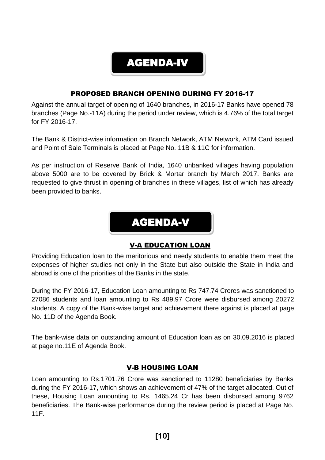

## PROPOSED BRANCH OPENING DURING FY 2016-17

Against the annual target of opening of 1640 branches, in 2016-17 Banks have opened 78 branches (Page No.-11A) during the period under review, which is 4.76% of the total target for FY 2016-17.

The Bank & District-wise information on Branch Network, ATM Network, ATM Card issued and Point of Sale Terminals is placed at Page No. 11B & 11C for information.

As per instruction of Reserve Bank of India, 1640 unbanked villages having population above 5000 are to be covered by Brick & Mortar branch by March 2017. Banks are requested to give thrust in opening of branches in these villages, list of which has already been provided to banks.



#### V-A EDUCATION LOAN

Providing Education loan to the meritorious and needy students to enable them meet the expenses of higher studies not only in the State but also outside the State in India and abroad is one of the priorities of the Banks in the state.

During the FY 2016-17, Education Loan amounting to Rs 747.74 Crores was sanctioned to 27086 students and loan amounting to Rs 489.97 Crore were disbursed among 20272 students. A copy of the Bank-wise target and achievement there against is placed at page No. 11D of the Agenda Book.

The bank-wise data on outstanding amount of Education loan as on 30.09.2016 is placed at page no.11E of Agenda Book.

#### V-B HOUSING LOAN

Loan amounting to Rs.1701.76 Crore was sanctioned to 11280 beneficiaries by Banks during the FY 2016-17, which shows an achievement of 47% of the target allocated. Out of these, Housing Loan amounting to Rs. 1465.24 Cr has been disbursed among 9762 beneficiaries. The Bank-wise performance during the review period is placed at Page No. 11F.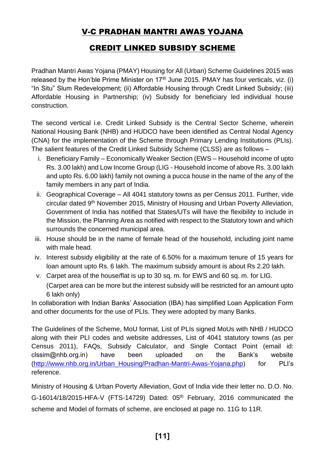## V-C PRADHAN MANTRI AWAS YOJANA

## CREDIT LINKED SUBSIDY SCHEME

Pradhan Mantri Awas Yojana (PMAY) Housing for All (Urban) Scheme Guidelines 2015 was released by the Hon'ble Prime Minister on  $17<sup>th</sup>$  June 2015. PMAY has four verticals, viz. (i) "In Situ" Slum Redevelopment; (ii) Affordable Housing through Credit Linked Subsidy; (iii) Affordable Housing in Partnership; (iv) Subsidy for beneficiary led individual house construction.

The second vertical i.e. Credit Linked Subsidy is the Central Sector Scheme, wherein National Housing Bank (NHB) and HUDCO have been identified as Central Nodal Agency (CNA) for the implementation of the Scheme through Primary Lending Institutions (PLIs). The salient features of the Credit Linked Subsidy Scheme (CLSS) are as follows –

- i. Beneficiary Family Economically Weaker Section (EWS Household income of upto Rs. 3.00 lakh) and Low Income Group (LIG - Household income of above Rs. 3.00 lakh and upto Rs. 6.00 lakh) family not owning a pucca house in the name of the any of the family members in any part of India.
- ii. Geographical Coverage All 4041 statutory towns as per Census 2011. Further, vide circular dated 9th November 2015, Ministry of Housing and Urban Poverty Alleviation, Government of India has notified that States/UTs will have the flexibility to include in the Mission, the Planning Area as notified with respect to the Statutory town and which surrounds the concerned municipal area.
- iii. House should be in the name of female head of the household, including joint name with male head.
- iv. Interest subsidy eligibility at the rate of 6.50% for a maximum tenure of 15 years for loan amount upto Rs. 6 lakh. The maximum subsidy amount is about Rs 2.20 lakh.
- v. Carpet area of the house/flat is up to 30 sq. m. for EWS and 60 sq. m. for LIG. (Carpet area can be more but the interest subsidy will be restricted for an amount upto 6 lakh only)

In collaboration with Indian Banks' Association (IBA) has simplified Loan Application Form and other documents for the use of PLIs. They were adopted by many Banks.

The Guidelines of the Scheme, MoU format, List of PLIs signed MoUs with NHB / HUDCO along with their PLI codes and website addresses, List of 4041 statutory towns (as per Census 2011), FAQs, Subsidy Calculator, and Single Contact Point (email id: clssim@nhb.org.in) have been uploaded on the Bank's website (http://www.nhb.org.in/Urban Housing/Pradhan-Mantri-Awas-Yojana.php) for PLI's reference.

Ministry of Housing & Urban Poverty Alleviation, Govt of India vide their letter no. D.O. No. G-16014/18/2015-HFA-V (FTS-14729) Dated: 05<sup>th</sup> February, 2016 communicated the scheme and Model of formats of scheme, are enclosed at page no. 11G to 11R.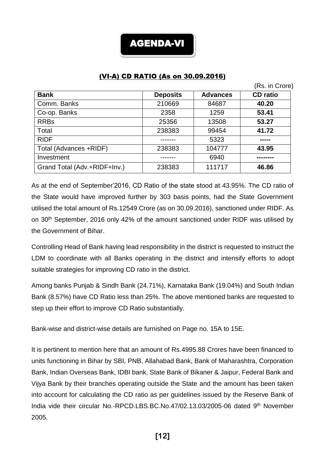

### (VI-A) CD RATIO (As on 30.09.2016)

|                              |                 |                 | (Rs. in Crore)  |
|------------------------------|-----------------|-----------------|-----------------|
| <b>Bank</b>                  | <b>Deposits</b> | <b>Advances</b> | <b>CD</b> ratio |
| Comm. Banks                  | 210669          | 84687           | 40.20           |
| Co-op. Banks                 | 2358            | 1259            | 53.41           |
| <b>RRBs</b>                  | 25356           | 13508           | 53.27           |
| Total                        | 238383          | 99454           | 41.72           |
| <b>RIDF</b>                  |                 | 5323            |                 |
| Total (Advances +RIDF)       | 238383          | 104777          | 43.95           |
| Investment                   |                 | 6940            |                 |
| Grand Total (Adv.+RIDF+Inv.) | 238383          | 111717          | 46.86           |

As at the end of September'2016, CD Ratio of the state stood at 43.95%. The CD ratio of the State would have improved further by 303 basis points, had the State Government utilised the total amount of Rs.12549 Crore (as on 30.09.2016), sanctioned under RIDF. As on 30th September, 2016 only 42% of the amount sanctioned under RIDF was utilised by the Government of Bihar.

Controlling Head of Bank having lead responsibility in the district is requested to instruct the LDM to coordinate with all Banks operating in the district and intensify efforts to adopt suitable strategies for improving CD ratio in the district.

Among banks Punjab & Sindh Bank (24.71%), Karnataka Bank (19.04%) and South Indian Bank (8.57%) have CD Ratio less than 25%. The above mentioned banks are requested to step up their effort to improve CD Ratio substantially.

Bank-wise and district-wise details are furnished on Page no. 15A to 15E.

It is pertinent to mention here that an amount of Rs.4995.88 Crores have been financed to units functioning in Bihar by SBI, PNB, Allahabad Bank, Bank of Maharashtra, Corporation Bank, Indian Overseas Bank, IDBI bank, State Bank of Bikaner & Jaipur, Federal Bank and Vijya Bank by their branches operating outside the State and the amount has been taken into account for calculating the CD ratio as per guidelines issued by the Reserve Bank of India vide their circular No.-RPCD.LBS.BC.No.47/02.13.03/2005-06 dated 9th November 2005.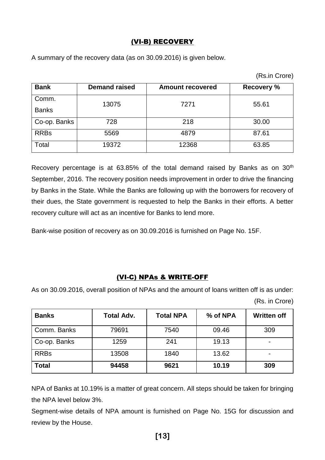### (VI-B) RECOVERY

A summary of the recovery data (as on 30.09.2016) is given below.

| <b>Bank</b>  | <b>Demand raised</b> | <b>Amount recovered</b> | <b>Recovery %</b> |  |
|--------------|----------------------|-------------------------|-------------------|--|
| Comm.        | 13075                | 7271                    | 55.61             |  |
| <b>Banks</b> |                      |                         |                   |  |
| Co-op. Banks | 728                  | 218                     | 30.00             |  |
| <b>RRBs</b>  | 5569                 | 4879                    | 87.61             |  |
| Total        | 19372                | 12368                   | 63.85             |  |

Recovery percentage is at  $63.85\%$  of the total demand raised by Banks as on  $30<sup>th</sup>$ September, 2016. The recovery position needs improvement in order to drive the financing by Banks in the State. While the Banks are following up with the borrowers for recovery of their dues, the State government is requested to help the Banks in their efforts. A better recovery culture will act as an incentive for Banks to lend more.

Bank-wise position of recovery as on 30.09.2016 is furnished on Page No. 15F.

#### (VI-C) NPAs & WRITE-OFF

As on 30.09.2016, overall position of NPAs and the amount of loans written off is as under:

| (Rs. in Crore) |  |
|----------------|--|
|----------------|--|

| <b>Banks</b> | <b>Total Adv.</b> | <b>Total NPA</b> | % of NPA | <b>Written off</b> |
|--------------|-------------------|------------------|----------|--------------------|
| Comm. Banks  | 79691             | 7540             | 09.46    | 309                |
| Co-op. Banks | 1259              | 241              | 19.13    |                    |
| <b>RRBs</b>  | 13508             | 1840             | 13.62    |                    |
| <b>Total</b> | 94458             | 9621             | 10.19    | 309                |

NPA of Banks at 10.19% is a matter of great concern. All steps should be taken for bringing the NPA level below 3%.

Segment-wise details of NPA amount is furnished on Page No. 15G for discussion and review by the House.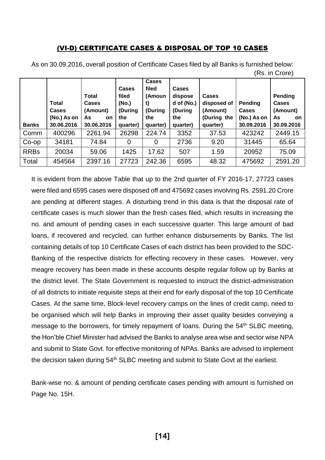#### (VI-D) CERTIFICATE CASES & DISPOSAL OF TOP 10 CASES

|              |                       |                                   |                                    |                                                  |                                                  |                                         |                         | ,,,,,,,,,,,,,,,,,,                  |
|--------------|-----------------------|-----------------------------------|------------------------------------|--------------------------------------------------|--------------------------------------------------|-----------------------------------------|-------------------------|-------------------------------------|
|              | Total<br><b>Cases</b> | <b>Total</b><br>Cases<br>(Amount) | Cases<br>filed<br>(No.)<br>(During | <b>Cases</b><br>filed<br>(Amoun<br>t)<br>(During | <b>Cases</b><br>dispose<br>d of (No.)<br>(During | <b>Cases</b><br>disposed of<br>(Amount) | Pending<br><b>Cases</b> | Pending<br><b>Cases</b><br>(Amount) |
|              | (No.) As on           | As<br>on                          | the                                | the                                              | the                                              | (During the                             | (No.) As on             | As<br><b>on</b>                     |
| <b>Banks</b> | 30.06.2016            | 30.06.2016                        | quarter)                           | quarter)                                         | quarter)                                         | quarter)                                | 30.09.2016              | 30.09.2016                          |
| Comm         | 400296                | 2261.94                           | 26298                              | 224.74                                           | 3352                                             | 37.53                                   | 423242                  | 2449.15                             |
| $Co$ -op     | 34181                 | 74.84                             |                                    | 0                                                | 2736                                             | 9.20                                    | 31445                   | 65.64                               |
| <b>RRBs</b>  | 20034                 | 59.06                             | 1425                               | 17.62                                            | 507                                              | 1.59                                    | 20952                   | 75.09                               |
| Total        | 454564                | 2397.16                           | 27723                              | 242.36                                           | 6595                                             | 48.32                                   | 475692                  | 2591.20                             |

As on 30.09.2016, overall position of Certificate Cases filed by all Banks is furnished below: (Rs. in Crore)

It is evident from the above Table that up to the 2nd quarter of FY 2016-17, 27723 cases were filed and 6595 cases were disposed off and 475692 cases involving Rs. 2591.20 Crore are pending at different stages. A disturbing trend in this data is that the disposal rate of certificate cases is much slower than the fresh cases filed, which results in increasing the no. and amount of pending cases in each successive quarter. This large amount of bad loans, if recovered and recycled, can further enhance disbursements by Banks. The list containing details of top 10 Certificate Cases of each district has been provided to the SDC-Banking of the respective districts for effecting recovery in these cases. However, very meagre recovery has been made in these accounts despite regular follow up by Banks at the district level. The State Government is requested to instruct the district-administration of all districts to initiate requisite steps at their end for early disposal of the top 10 Certificate Cases. At the same time, Block-level recovery camps on the lines of credit camp, need to be organised which will help Banks in improving their asset quality besides conveying a message to the borrowers, for timely repayment of loans. During the 54<sup>th</sup> SLBC meeting, the Hon'ble Chief Minister had advised the Banks to analyse area wise and sector wise NPA and submit to State Govt. for effective monitoring of NPAs. Banks are advised to implement the decision taken during  $54<sup>th</sup>$  SLBC meeting and submit to State Govt at the earliest.

Bank-wise no. & amount of pending certificate cases pending with amount is furnished on Page No. 15H.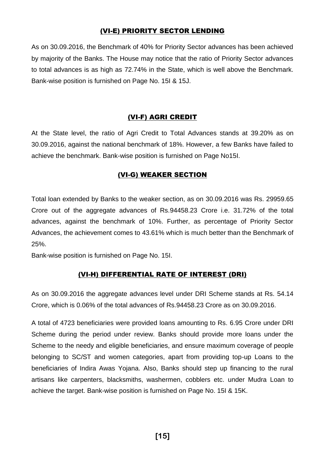#### (VI-E) PRIORITY SECTOR LENDING

As on 30.09.2016, the Benchmark of 40% for Priority Sector advances has been achieved by majority of the Banks. The House may notice that the ratio of Priority Sector advances to total advances is as high as 72.74% in the State, which is well above the Benchmark. Bank-wise position is furnished on Page No. 15I & 15J.

#### (VI-F) AGRI CREDIT

At the State level, the ratio of Agri Credit to Total Advances stands at 39.20% as on 30.09.2016, against the national benchmark of 18%. However, a few Banks have failed to achieve the benchmark. Bank-wise position is furnished on Page No15I.

#### (VI-G) WEAKER SECTION

Total loan extended by Banks to the weaker section, as on 30.09.2016 was Rs. 29959.65 Crore out of the aggregate advances of Rs.94458.23 Crore i.e. 31.72% of the total advances, against the benchmark of 10%. Further, as percentage of Priority Sector Advances, the achievement comes to 43.61% which is much better than the Benchmark of 25%.

Bank-wise position is furnished on Page No. 15I.

#### (VI-H) DIFFERENTIAL RATE OF INTEREST (DRI)

As on 30.09.2016 the aggregate advances level under DRI Scheme stands at Rs. 54.14 Crore, which is 0.06% of the total advances of Rs.94458.23 Crore as on 30.09.2016.

A total of 4723 beneficiaries were provided loans amounting to Rs. 6.95 Crore under DRI Scheme during the period under review. Banks should provide more loans under the Scheme to the needy and eligible beneficiaries, and ensure maximum coverage of people belonging to SC/ST and women categories, apart from providing top-up Loans to the beneficiaries of Indira Awas Yojana. Also, Banks should step up financing to the rural artisans like carpenters, blacksmiths, washermen, cobblers etc. under Mudra Loan to achieve the target. Bank-wise position is furnished on Page No. 15I & 15K.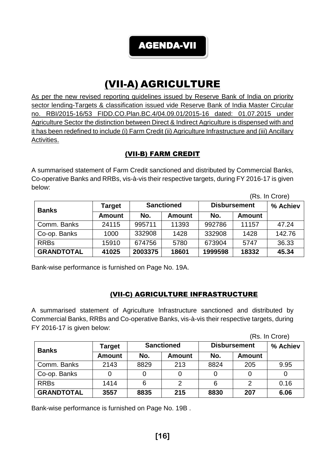AGENDA-VII

# (VII-A) AGRICULTURE

As per the new revised reporting guidelines issued by Reserve Bank of India on priority sector lending-Targets & classification issued vide Reserve Bank of India Master Circular no. RBI/2015-16/53 FIDD.CO.Plan.BC.4/04.09.01/2015-16 dated: 01.07.2015 under Agriculture Sector the distinction between Direct & Indirect Agriculture is dispensed with and it has been redefined to include (i) Farm Credit (ii) Agriculture Infrastructure and (iii) Ancillary Activities.

## (VII-B) FARM CREDIT

A summarised statement of Farm Credit sanctioned and distributed by Commercial Banks, Co-operative Banks and RRBs, vis-à-vis their respective targets, during FY 2016-17 is given below:

|                   |               |                   |               |                     |               | (Rs. In Crore) |
|-------------------|---------------|-------------------|---------------|---------------------|---------------|----------------|
| <b>Banks</b>      | <b>Target</b> | <b>Sanctioned</b> |               | <b>Disbursement</b> | % Achiev      |                |
|                   | <b>Amount</b> | No.               | <b>Amount</b> | No.                 | <b>Amount</b> |                |
| Comm. Banks       | 24115         | 995711            | 11393         | 992786              | 11157         | 47.24          |
| Co-op. Banks      | 1000          | 332908            | 1428          | 332908              | 1428          | 142.76         |
| <b>RRBs</b>       | 15910         | 674756            | 5780          | 673904              | 5747          | 36.33          |
| <b>GRANDTOTAL</b> | 41025         | 2003375           | 18601         | 1999598             | 18332         | 45.34          |

Bank-wise performance is furnished on Page No. 19A.

## (VII-C) AGRICULTURE INFRASTRUCTURE

A summarised statement of Agriculture Infrastructure sanctioned and distributed by Commercial Banks, RRBs and Co-operative Banks, vis-à-vis their respective targets, during FY 2016-17 is given below:

(Rs. In Crore)

| <b>Banks</b>      | Target        | <b>Sanctioned</b> |               | <b>Disbursement</b> | % Achiev      |      |
|-------------------|---------------|-------------------|---------------|---------------------|---------------|------|
|                   | <b>Amount</b> | No.               | <b>Amount</b> | No.                 | <b>Amount</b> |      |
| Comm. Banks       | 2143          | 8829              | 213           | 8824                | 205           | 9.95 |
| Co-op. Banks      |               |                   |               |                     |               |      |
| <b>RRBs</b>       | 1414          | 6                 |               |                     |               | 0.16 |
| <b>GRANDTOTAL</b> | 3557          | 8835              | 215           | 8830                | 207           | 6.06 |

Bank-wise performance is furnished on Page No. 19B .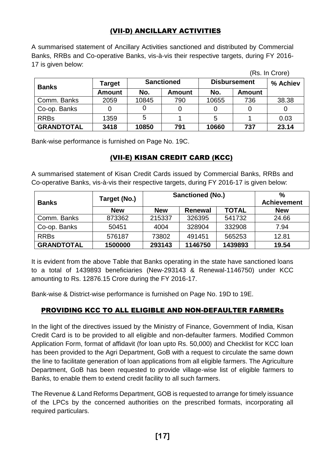## (VII-D) ANCILLARY ACTIVITIES

A summarised statement of Ancillary Activities sanctioned and distributed by Commercial Banks, RRBs and Co-operative Banks, vis-à-vis their respective targets, during FY 2016- 17 is given below:

|                   |               |                   |               |                     |               | (Rs. In Crore) |
|-------------------|---------------|-------------------|---------------|---------------------|---------------|----------------|
| <b>Banks</b>      | Target        | <b>Sanctioned</b> |               | <b>Disbursement</b> | % Achiev      |                |
|                   | <b>Amount</b> | No.               | <b>Amount</b> | No.                 | <b>Amount</b> |                |
| Comm. Banks       | 2059          | 10845             | 790           | 10655               | 736           | 38.38          |
| Co-op. Banks      |               |                   |               |                     |               |                |
| <b>RRBs</b>       | 1359          | 5                 |               | 5                   |               | 0.03           |
| <b>GRANDTOTAL</b> | 3418          | 10850             | 791           | 10660               | 737           | 23.14          |

Bank-wise performance is furnished on Page No. 19C.

## (VII-E) KISAN CREDIT CARD (KCC)

A summarised statement of Kisan Credit Cards issued by Commercial Banks, RRBs and Co-operative Banks, vis-à-vis their respective targets, during FY 2016-17 is given below:

|                   | Target (No.) | <b>Sanctioned (No.)</b> | $\frac{0}{0}$      |              |            |
|-------------------|--------------|-------------------------|--------------------|--------------|------------|
| <b>Banks</b>      |              |                         | <b>Achievement</b> |              |            |
|                   | <b>New</b>   | <b>New</b>              | <b>Renewal</b>     | <b>TOTAL</b> | <b>New</b> |
| Comm. Banks       | 873362       | 215337                  | 326395             | 541732       | 24.66      |
| Co-op. Banks      | 50451        | 4004                    | 328904             | 332908       | 7.94       |
| <b>RRBs</b>       | 576187       | 73802                   | 491451             | 565253       | 12.81      |
| <b>GRANDTOTAL</b> | 1500000      | 293143                  | 1146750            | 1439893      | 19.54      |

It is evident from the above Table that Banks operating in the state have sanctioned loans to a total of 1439893 beneficiaries (New-293143 & Renewal-1146750) under KCC amounting to Rs. 12876.15 Crore during the FY 2016-17.

Bank-wise & District-wise performance is furnished on Page No. 19D to 19E.

## PROVIDING KCC TO ALL ELIGIBLE AND NON-DEFAULTER FARMERs

In the light of the directives issued by the Ministry of Finance, Government of India, Kisan Credit Card is to be provided to all eligible and non-defaulter farmers. Modified Common Application Form, format of affidavit (for loan upto Rs. 50,000) and Checklist for KCC loan has been provided to the Agri Department, GoB with a request to circulate the same down the line to facilitate generation of loan applications from all eligible farmers. The Agriculture Department, GoB has been requested to provide village-wise list of eligible farmers to Banks, to enable them to extend credit facility to all such farmers.

The Revenue & Land Reforms Department, GOB is requested to arrange for timely issuance of the LPCs by the concerned authorities on the prescribed formats, incorporating all required particulars.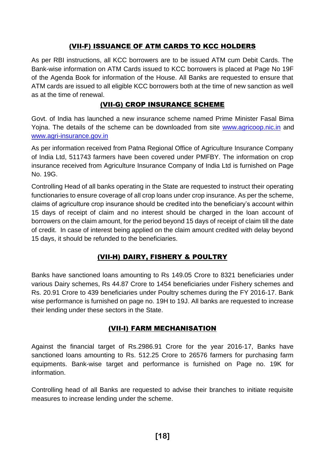## (VII-F) ISSUANCE OF ATM CARDS TO KCC HOLDERS

As per RBI instructions, all KCC borrowers are to be issued ATM cum Debit Cards. The Bank-wise information on ATM Cards issued to KCC borrowers is placed at Page No 19F of the Agenda Book for information of the House. All Banks are requested to ensure that ATM cards are issued to all eligible KCC borrowers both at the time of new sanction as well as at the time of renewal.

### (VII-G) CROP INSURANCE SCHEME

Govt. of India has launched a new insurance scheme named Prime Minister Fasal Bima Yojna. The details of the scheme can be downloaded from site [www.agricoop.nic.in](http://www.agricoop.nic.in/) and [www.agri-insurance.gov.in](http://www.agri-insurance.gov.in/)

As per information received from Patna Regional Office of Agriculture Insurance Company of India Ltd, 511743 farmers have been covered under PMFBY. The information on crop insurance received from Agriculture Insurance Company of India Ltd is furnished on Page No. 19G.

Controlling Head of all banks operating in the State are requested to instruct their operating functionaries to ensure coverage of all crop loans under crop insurance. As per the scheme, claims of agriculture crop insurance should be credited into the beneficiary's account within 15 days of receipt of claim and no interest should be charged in the loan account of borrowers on the claim amount, for the period beyond 15 days of receipt of claim till the date of credit. In case of interest being applied on the claim amount credited with delay beyond 15 days, it should be refunded to the beneficiaries.

## (VII-H) DAIRY, FISHERY & POULTRY

Banks have sanctioned loans amounting to Rs 149.05 Crore to 8321 beneficiaries under various Dairy schemes, Rs 44.87 Crore to 1454 beneficiaries under Fishery schemes and Rs. 20.91 Crore to 439 beneficiaries under Poultry schemes during the FY 2016-17. Bank wise performance is furnished on page no. 19H to 19J. All banks are requested to increase their lending under these sectors in the State.

## (VII-I) FARM MECHANISATION

Against the financial target of Rs.2986.91 Crore for the year 2016-17, Banks have sanctioned loans amounting to Rs. 512.25 Crore to 26576 farmers for purchasing farm equipments. Bank-wise target and performance is furnished on Page no. 19K for information.

Controlling head of all Banks are requested to advise their branches to initiate requisite measures to increase lending under the scheme.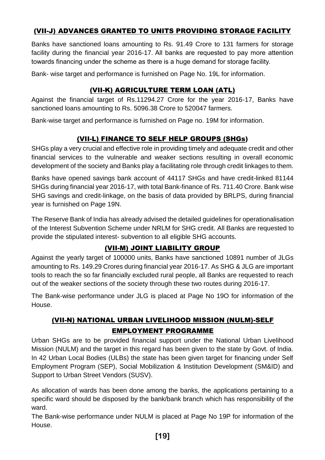## (VII-J) ADVANCES GRANTED TO UNITS PROVIDING STORAGE FACILITY

Banks have sanctioned loans amounting to Rs. 91.49 Crore to 131 farmers for storage facility during the financial year 2016-17. All banks are requested to pay more attention towards financing under the scheme as there is a huge demand for storage facility.

Bank- wise target and performance is furnished on Page No. 19L for information.

### (VII-K) AGRICULTURE TERM LOAN (ATL)

Against the financial target of Rs.11294.27 Crore for the year 2016-17, Banks have sanctioned loans amounting to Rs. 5096.38 Crore to 520047 farmers.

Bank-wise target and performance is furnished on Page no. 19M for information.

## (VII-L) FINANCE TO SELF HELP GROUPS (SHGs)

SHGs play a very crucial and effective role in providing timely and adequate credit and other financial services to the vulnerable and weaker sections resulting in overall economic development of the society and Banks play a facilitating role through credit linkages to them.

Banks have opened savings bank account of 44117 SHGs and have credit-linked 81144 SHGs during financial year 2016-17, with total Bank-finance of Rs. 711.40 Crore. Bank wise SHG savings and credit-linkage, on the basis of data provided by BRLPS, during financial year is furnished on Page 19N.

The Reserve Bank of India has already advised the detailed guidelines for operationalisation of the Interest Subvention Scheme under NRLM for SHG credit. All Banks are requested to provide the stipulated interest- subvention to all eligible SHG accounts.

#### (VII-M) JOINT LIABILITY GROUP

Against the yearly target of 100000 units, Banks have sanctioned 10891 number of JLGs amounting to Rs. 149.29 Crores during financial year 2016-17. As SHG & JLG are important tools to reach the so far financially excluded rural people, all Banks are requested to reach out of the weaker sections of the society through these two routes during 2016-17.

The Bank-wise performance under JLG is placed at Page No 19O for information of the House.

## (VII-N) NATIONAL URBAN LIVELIHOOD MISSION (NULM)-SELF EMPLOYMENT PROGRAMME

Urban SHGs are to be provided financial support under the National Urban Livelihood Mission (NULM) and the target in this regard has been given to the state by Govt. of India. In 42 Urban Local Bodies (ULBs) the state has been given target for financing under Self Employment Program (SEP), Social Mobilization & Institution Development (SM&ID) and Support to Urban Street Vendors (SUSV).

As allocation of wards has been done among the banks, the applications pertaining to a specific ward should be disposed by the bank/bank branch which has responsibility of the ward.

The Bank-wise performance under NULM is placed at Page No 19P for information of the House.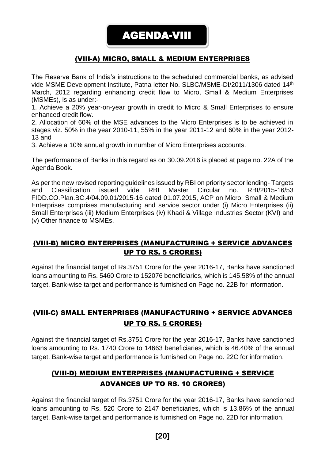### (VIII-A) MICRO, SMALL & MEDIUM ENTERPRISES

The Reserve Bank of India's instructions to the scheduled commercial banks, as advised vide MSME Development Institute, Patna letter No. SLBC/MSME-DI/2011/1306 dated 14<sup>th</sup> March, 2012 regarding enhancing credit flow to Micro, Small & Medium Enterprises (MSMEs), is as under:-

1. Achieve a 20% year-on-year growth in credit to Micro & Small Enterprises to ensure enhanced credit flow.

2. Allocation of 60% of the MSE advances to the Micro Enterprises is to be achieved in stages viz. 50% in the year 2010-11, 55% in the year 2011-12 and 60% in the year 2012- 13 and

3. Achieve a 10% annual growth in number of Micro Enterprises accounts.

The performance of Banks in this regard as on 30.09.2016 is placed at page no. 22A of the Agenda Book.

As per the new revised reporting guidelines issued by RBI on priority sector lending- Targets and Classification issued vide RBI Master Circular no. RBI/2015-16/53 FIDD.CO.Plan.BC.4/04.09.01/2015-16 dated 01.07.2015, ACP on Micro, Small & Medium Enterprises comprises manufacturing and service sector under (i) Micro Enterprises (ii) Small Enterprises (iii) Medium Enterprises (iv) Khadi & Village Industries Sector (KVI) and (v) Other finance to MSMEs.

### (VIII-B) MICRO ENTERPRISES (MANUFACTURING + SERVICE ADVANCES UP TO RS. 5 CRORES)

Against the financial target of Rs.3751 Crore for the year 2016-17, Banks have sanctioned loans amounting to Rs. 5460 Crore to 152076 beneficiaries, which is 145.58% of the annual target. Bank-wise target and performance is furnished on Page no. 22B for information.

## (VIII-C) SMALL ENTERPRISES (MANUFACTURING + SERVICE ADVANCES UP TO RS. 5 CRORES)

Against the financial target of Rs.3751 Crore for the year 2016-17, Banks have sanctioned loans amounting to Rs. 1740 Crore to 14663 beneficiaries, which is 46.40% of the annual target. Bank-wise target and performance is furnished on Page no. 22C for information.

## (VIII-D) MEDIUM ENTERPRISES (MANUFACTURING + SERVICE ADVANCES UP TO RS. 10 CRORES)

Against the financial target of Rs.3751 Crore for the year 2016-17, Banks have sanctioned loans amounting to Rs. 520 Crore to 2147 beneficiaries, which is 13.86% of the annual target. Bank-wise target and performance is furnished on Page no. 22D for information.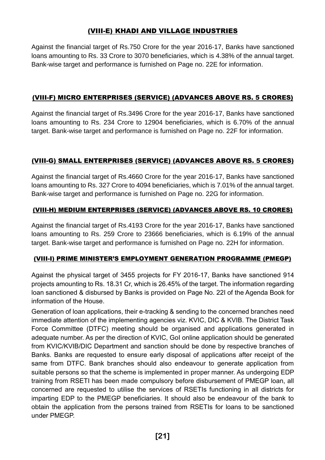## (VIII-E) KHADI AND VILLAGE INDUSTRIES

Against the financial target of Rs.750 Crore for the year 2016-17, Banks have sanctioned loans amounting to Rs. 33 Crore to 3070 beneficiaries, which is 4.38% of the annual target. Bank-wise target and performance is furnished on Page no. 22E for information.

#### (VIII-F) MICRO ENTERPRISES (SERVICE) (ADVANCES ABOVE RS. 5 CRORES)

Against the financial target of Rs.3496 Crore for the year 2016-17, Banks have sanctioned loans amounting to Rs. 234 Crore to 12904 beneficiaries, which is 6.70% of the annual target. Bank-wise target and performance is furnished on Page no. 22F for information.

#### (VIII-G) SMALL ENTERPRISES (SERVICE) (ADVANCES ABOVE RS. 5 CRORES)

Against the financial target of Rs.4660 Crore for the year 2016-17, Banks have sanctioned loans amounting to Rs. 327 Crore to 4094 beneficiaries, which is 7.01% of the annual target. Bank-wise target and performance is furnished on Page no. 22G for information.

#### (VIII-H) MEDIUM ENTERPRISES (SERVICE) (ADVANCES ABOVE RS. 10 CRORES)

Against the financial target of Rs.4193 Crore for the year 2016-17, Banks have sanctioned loans amounting to Rs. 259 Crore to 23666 beneficiaries, which is 6.19% of the annual target. Bank-wise target and performance is furnished on Page no. 22H for information.

#### (VIII-I) PRIME MINISTER'S EMPLOYMENT GENERATION PROGRAMME (PMEGP)

Against the physical target of 3455 projects for FY 2016-17, Banks have sanctioned 914 projects amounting to Rs. 18.31 Cr, which is 26.45% of the target. The information regarding loan sanctioned & disbursed by Banks is provided on Page No. 22I of the Agenda Book for information of the House.

Generation of loan applications, their e-tracking & sending to the concerned branches need immediate attention of the implementing agencies viz. KVIC, DIC & KVIB. The District Task Force Committee (DTFC) meeting should be organised and applications generated in adequate number. As per the direction of KVIC, GoI online application should be generated from KVIC/KVIB/DIC Department and sanction should be done by respective branches of Banks. Banks are requested to ensure early disposal of applications after receipt of the same from DTFC. Bank branches should also endeavour to generate application from suitable persons so that the scheme is implemented in proper manner. As undergoing EDP training from RSETI has been made compulsory before disbursement of PMEGP loan, all concerned are requested to utilise the services of RSETIs functioning in all districts for imparting EDP to the PMEGP beneficiaries. It should also be endeavour of the bank to obtain the application from the persons trained from RSETIs for loans to be sanctioned under PMEGP.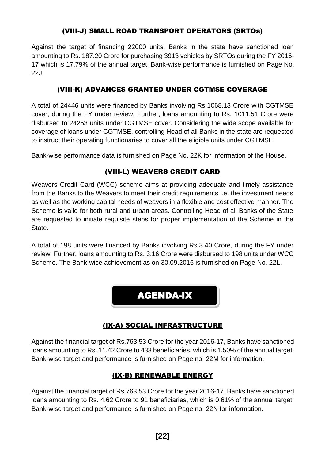## (VIII-J) SMALL ROAD TRANSPORT OPERATORS (SRTOs)

Against the target of financing 22000 units, Banks in the state have sanctioned loan amounting to Rs. 187.20 Crore for purchasing 3913 vehicles by SRTOs during the FY 2016- 17 which is 17.79% of the annual target. Bank-wise performance is furnished on Page No. 22J.

## (VIII-K) ADVANCES GRANTED UNDER CGTMSE COVERAGE

A total of 24446 units were financed by Banks involving Rs.1068.13 Crore with CGTMSE cover, during the FY under review. Further, loans amounting to Rs. 1011.51 Crore were disbursed to 24253 units under CGTMSE cover. Considering the wide scope available for coverage of loans under CGTMSE, controlling Head of all Banks in the state are requested to instruct their operating functionaries to cover all the eligible units under CGTMSE.

Bank-wise performance data is furnished on Page No. 22K for information of the House.

## (VIII-L) WEAVERS CREDIT CARD

Weavers Credit Card (WCC) scheme aims at providing adequate and timely assistance from the Banks to the Weavers to meet their credit requirements i.e. the investment needs as well as the working capital needs of weavers in a flexible and cost effective manner. The Scheme is valid for both rural and urban areas. Controlling Head of all Banks of the State are requested to initiate requisite steps for proper implementation of the Scheme in the State.

A total of 198 units were financed by Banks involving Rs.3.40 Crore, during the FY under review. Further, loans amounting to Rs. 3.16 Crore were disbursed to 198 units under WCC Scheme. The Bank-wise achievement as on 30.09.2016 is furnished on Page No. 22L.

AGENDA-IX

## (IX-A) SOCIAL INFRASTRUCTURE

Against the financial target of Rs.763.53 Crore for the year 2016-17, Banks have sanctioned loans amounting to Rs. 11.42 Crore to 433 beneficiaries, which is 1.50% of the annual target. Bank-wise target and performance is furnished on Page no. 22M for information.

#### (IX-B) RENEWABLE ENERGY

Against the financial target of Rs.763.53 Crore for the year 2016-17, Banks have sanctioned loans amounting to Rs. 4.62 Crore to 91 beneficiaries, which is 0.61% of the annual target. Bank-wise target and performance is furnished on Page no. 22N for information.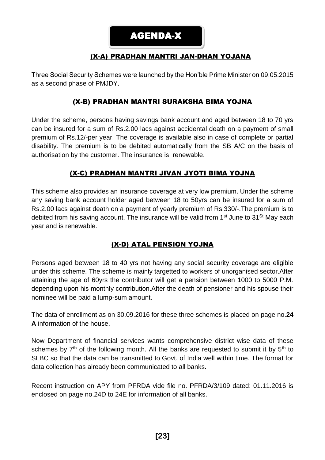## (X-A) PRADHAN MANTRI JAN-DHAN YOJANA

Three Social Security Schemes were launched by the Hon'ble Prime Minister on 09.05.2015 as a second phase of PMJDY.

#### (X-B) PRADHAN MANTRI SURAKSHA BIMA YOJNA

Under the scheme, persons having savings bank account and aged between 18 to 70 yrs can be insured for a sum of Rs.2.00 lacs against accidental death on a payment of small premium of Rs.12/-per year. The coverage is available also in case of complete or partial disability. The premium is to be debited automatically from the SB A/C on the basis of authorisation by the customer. The insurance is renewable.

#### (X-C) PRADHAN MANTRI JIVAN JYOTI BIMA YOJNA

This scheme also provides an insurance coverage at very low premium. Under the scheme any saving bank account holder aged between 18 to 50yrs can be insured for a sum of Rs.2.00 lacs against death on a payment of yearly premium of Rs.330/-.The premium is to debited from his saving account. The insurance will be valid from  $1<sup>st</sup>$  June to  $31<sup>St</sup>$  May each year and is renewable.

## (X-D) ATAL PENSION YOJNA

Persons aged between 18 to 40 yrs not having any social security coverage are eligible under this scheme. The scheme is mainly targetted to workers of unorganised sector.After attaining the age of 60yrs the contributor will get a pension between 1000 to 5000 P.M. depending upon his monthly contribution.After the death of pensioner and his spouse their nominee will be paid a lump-sum amount.

The data of enrollment as on 30.09.2016 for these three schemes is placed on page no.**24 A** information of the house.

Now Department of financial services wants comprehensive district wise data of these schemes by  $7<sup>th</sup>$  of the following month. All the banks are requested to submit it by  $5<sup>th</sup>$  to SLBC so that the data can be transmitted to Govt. of India well within time. The format for data collection has already been communicated to all banks.

Recent instruction on APY from PFRDA vide file no. PFRDA/3/109 dated: 01.11.2016 is enclosed on page no.24D to 24E for information of all banks.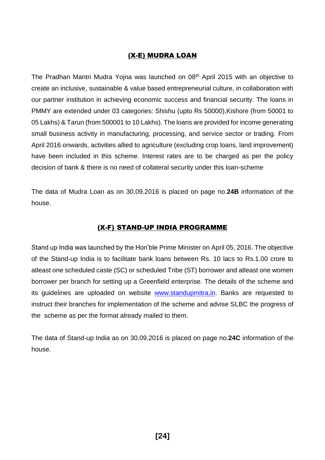### (X-E) MUDRA LOAN

The Pradhan Mantri Mudra Yojna was launched on 08<sup>th</sup> April 2015 with an objective to create an inclusive, sustainable & value based entrepreneurial culture, in collaboration with our partner institution in achieving economic success and financial security. The loans in PMMY are extended under 03 categories: Shishu (upto Rs 50000),Kishore (from 50001 to 05 Lakhs) & Tarun (from 500001 to 10 Lakhs). The loans are provided for income generating small business activity in manufacturing, processing, and service sector or trading. From April 2016 onwards, activities allied to agriculture (excluding crop loans, land improvement) have been included in this scheme. Interest rates are to be charged as per the policy decision of bank & there is no need of collateral security under this loan-scheme

The data of Mudra Loan as on 30.09.2016 is placed on page no.**24B** information of the house.

#### (X-F) STAND-UP INDIA PROGRAMME

Stand up India was launched by the Hon'ble Prime Minister on April 05, 2016. The objective of the Stand-up India is to facilitate bank loans between Rs. 10 lacs to Rs.1.00 crore to atleast one scheduled caste (SC) or scheduled Tribe (ST) borrower and atleast one women borrower per branch for setting up a Greenfield enterprise. The details of the scheme and its guidelines are uploaded on website [www.standupmitra.in.](http://www.standupmitra.in/) Banks are requested to instruct their branches for implementation of the scheme and advise SLBC the progress of the scheme as per the format already mailed to them.

The data of Stand-up India as on 30.09.2016 is placed on page no.**24C** information of the house.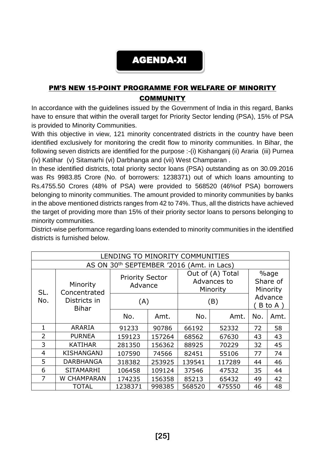## AGENDA-XI

## PM'S NEW 15-POINT PROGRAMME FOR WELFARE OF MINORITY **COMMUNITY**

In accordance with the guidelines issued by the Government of India in this regard, Banks have to ensure that within the overall target for Priority Sector lending (PSA), 15% of PSA is provided to Minority Communities.

With this objective in view, 121 minority concentrated districts in the country have been identified exclusively for monitoring the credit flow to minority communities. In Bihar, the following seven districts are identified for the purpose :-(i) Kishanganj (ii) Araria (iii) Purnea (iv) Katihar (v) Sitamarhi (vi) Darbhanga and (vii) West Champaran .

In these identified districts, total priority sector loans (PSA) outstanding as on 30.09.2016 was Rs 9983.85 Crore (No. of borrowers: 1238371) out of which loans amounting to Rs.4755.50 Crores (48% of PSA) were provided to 568520 (46%of PSA) borrowers belonging to minority communities. The amount provided to minority communities by banks in the above mentioned districts ranges from 42 to 74%. Thus, all the districts have achieved the target of providing more than 15% of their priority sector loans to persons belonging to minority communities.

District-wise performance regarding loans extended to minority communities in the identified districts is furnished below.

| LENDING TO MINORITY COMMUNITIES |                                           |                                   |        |                                             |                              |                   |      |  |  |  |
|---------------------------------|-------------------------------------------|-----------------------------------|--------|---------------------------------------------|------------------------------|-------------------|------|--|--|--|
|                                 | AS ON 30th SEPTEMBER '2016 (Amt. in Lacs) |                                   |        |                                             |                              |                   |      |  |  |  |
| SL.                             | Minority<br>Concentrated                  | <b>Priority Sector</b><br>Advance |        | Out of (A) Total<br>Advances to<br>Minority | %age<br>Share of<br>Minority |                   |      |  |  |  |
| No.                             | Districts in<br><b>Bihar</b>              | (A)                               |        | (B)                                         |                              | Advance<br>B to A |      |  |  |  |
|                                 |                                           | No.                               | Amt.   | No.                                         | Amt.                         | No.               | Amt. |  |  |  |
| 1                               | ARARIA                                    | 91233                             | 90786  | 66192                                       | 52332                        | 72                | 58   |  |  |  |
| $\overline{2}$                  | <b>PURNEA</b>                             | 159123                            | 157264 | 68562                                       | 67630                        | 43                | 43   |  |  |  |
| 3                               | <b>KATIHAR</b>                            | 281350                            | 156362 | 88925                                       | 70229                        | 32                | 45   |  |  |  |
| $\overline{4}$                  | <b>KISHANGANJ</b>                         | 107590                            | 74566  | 82451                                       | 55106                        | 77                | 74   |  |  |  |
| 5                               | <b>DARBHANGA</b>                          | 318382                            | 253925 | 139541                                      | 117289                       | 44                | 46   |  |  |  |
| 6                               | <b>SITAMARHI</b>                          | 106458                            | 109124 | 37546                                       | 47532                        | 35                | 44   |  |  |  |
| $\overline{7}$                  | W CHAMPARAN                               | 174235                            | 156358 | 85213                                       | 65432                        | 49                | 42   |  |  |  |
|                                 | <b>TOTAL</b>                              | 1238371                           | 998385 | 568520                                      | 475550                       | 46                | 48   |  |  |  |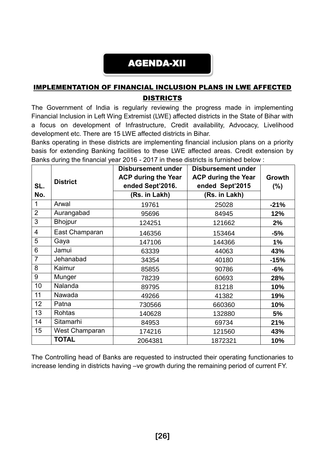## AGENDA-XII

## IMPLEMENTATION OF FINANCIAL INCLUSION PLANS IN LWE AFFECTED **DISTRICTS**

The Government of India is regularly reviewing the progress made in implementing Financial Inclusion in Left Wing Extremist (LWE) affected districts in the State of Bihar with a focus on development of Infrastructure, Credit availability, Advocacy, Livelihood development etc. There are 15 LWE affected districts in Bihar.

Banks operating in these districts are implementing financial inclusion plans on a priority basis for extending Banking facilities to these LWE affected areas. Credit extension by Banks during the financial year 2016 - 2017 in these districts is furnished below :

|                |                 | <b>Disbursement under</b>  | <b>Disbursement under</b>  |        |
|----------------|-----------------|----------------------------|----------------------------|--------|
|                | <b>District</b> | <b>ACP during the Year</b> | <b>ACP during the Year</b> | Growth |
| SL.            |                 | ended Sept'2016.           | ended Sept'2015            | $(\%)$ |
| No.            |                 | (Rs. in Lakh)              | (Rs. in Lakh)              |        |
| 1              | Arwal           | 19761                      | 25028                      | $-21%$ |
| $\overline{2}$ | Aurangabad      | 95696                      | 84945                      | 12%    |
| 3              | <b>Bhojpur</b>  | 124251                     | 121662                     | 2%     |
| 4              | East Champaran  | 146356                     | 153464                     | $-5%$  |
| 5              | Gaya            | 147106                     | 144366                     | 1%     |
| 6              | Jamui           | 63339                      | 44063                      | 43%    |
| $\overline{7}$ | Jehanabad       | 34354                      | 40180                      | $-15%$ |
| 8              | Kaimur          | 85855                      | 90786                      | $-6%$  |
| 9              | Munger          | 78239                      | 60693                      | 28%    |
| 10             | Nalanda         | 89795                      | 81218                      | 10%    |
| 11             | Nawada          | 49266                      | 41382                      | 19%    |
| 12             | Patna           | 730566                     | 660360                     | 10%    |
| 13             | Rohtas          | 140628                     | 132880                     | 5%     |
| 14             | Sitamarhi       | 84953                      | 69734                      | 21%    |
| 15             | West Champaran  | 174216                     | 121560                     | 43%    |
|                | <b>TOTAL</b>    | 2064381                    | 1872321                    | 10%    |

The Controlling head of Banks are requested to instructed their operating functionaries to increase lending in districts having –ve growth during the remaining period of current FY.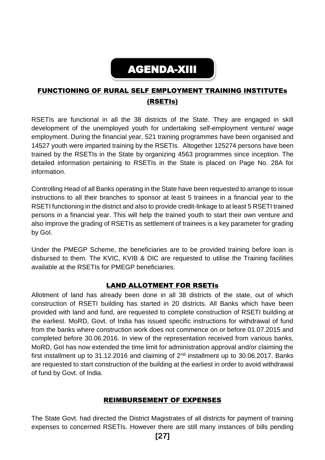# AGENDA-XIII

## FUNCTIONING OF RURAL SELF EMPLOYMENT TRAINING INSTITUTEs (RSETIs)

RSETIs are functional in all the 38 districts of the State. They are engaged in skill development of the unemployed youth for undertaking self-employment venture/ wage employment. During the financial year, 521 training programmes have been organised and 14527 youth were imparted training by the RSETIs. Altogether 125274 persons have been trained by the RSETIs in the State by organizing 4563 programmes since inception. The detailed information pertaining to RSETIs in the State is placed on Page No. 28A for information.

Controlling Head of all Banks operating in the State have been requested to arrange to issue instructions to all their branches to sponsor at least 5 trainees in a financial year to the RSETI functioning in the district and also to provide credit-linkage to at least 5 RSETI trained persons in a financial year. This will help the trained youth to start their own venture and also improve the grading of RSETIs as settlement of trainees is a key parameter for grading by GoI.

Under the PMEGP Scheme, the beneficiaries are to be provided training before loan is disbursed to them. The KVIC, KVIB & DIC are requested to utilise the Training facilities available at the RSETIs for PMEGP beneficiaries.

#### LAND ALLOTMENT FOR RSETIs

Allotment of land has already been done in all 38 districts of the state, out of which construction of RSETI building has started in 20 districts. All Banks which have been provided with land and fund, are requested to complete construction of RSETI building at the earliest. MoRD, Govt. of India has issued specific instructions for withdrawal of fund from the banks where construction work does not commence on or before 01.07.2015 and completed before 30.06.2016. In view of the representation received from various banks, MoRD, GoI has now extended the time limit for administration approval and/or claiming the first installment up to 31.12.2016 and claiming of  $2<sup>nd</sup>$  installment up to 30.06.2017. Banks are requested to start construction of the building at the earliest in order to avoid withdrawal of fund by Govt. of India.

#### REIMBURSEMENT OF EXPENSES

The State Govt. had directed the District Magistrates of all districts for payment of training expenses to concerned RSETIs. However there are still many instances of bills pending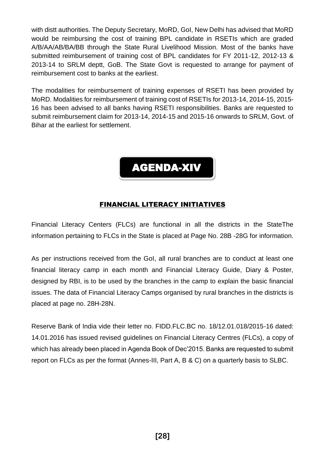with distt authorities. The Deputy Secretary, MoRD, GoI, New Delhi has advised that MoRD would be reimbursing the cost of training BPL candidate in RSETIs which are graded A/B/AA/AB/BA/BB through the State Rural Livelihood Mission. Most of the banks have submitted reimbursement of training cost of BPL candidates for FY 2011-12, 2012-13 & 2013-14 to SRLM deptt, GoB. The State Govt is requested to arrange for payment of reimbursement cost to banks at the earliest.

The modalities for reimbursement of training expenses of RSETI has been provided by MoRD. Modalities for reimbursement of training cost of RSETIs for 2013-14, 2014-15, 2015- 16 has been advised to all banks having RSETI responsibilities. Banks are requested to submit reimbursement claim for 2013-14, 2014-15 and 2015-16 onwards to SRLM, Govt. of Bihar at the earliest for settlement.



#### FINANCIAL LITERACY INITIATIVES

Financial Literacy Centers (FLCs) are functional in all the districts in the StateThe information pertaining to FLCs in the State is placed at Page No. 28B -28G for information.

As per instructions received from the GoI, all rural branches are to conduct at least one financial literacy camp in each month and Financial Literacy Guide, Diary & Poster, designed by RBI, is to be used by the branches in the camp to explain the basic financial issues. The data of Financial Literacy Camps organised by rural branches in the districts is placed at page no. 28H-28N.

Reserve Bank of India vide their letter no. FIDD.FLC.BC no. 18/12.01.018/2015-16 dated: 14.01.2016 has issued revised guidelines on Financial Literacy Centres (FLCs), a copy of which has already been placed in Agenda Book of Dec'2015. Banks are requested to submit report on FLCs as per the format (Annes-III, Part A, B & C) on a quarterly basis to SLBC.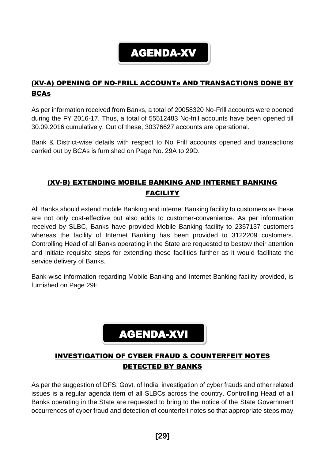## AGENDA-XV

## (XV-A) OPENING OF NO-FRILL ACCOUNTs AND TRANSACTIONS DONE BY **BCAs**

As per information received from Banks, a total of 20058320 No-Frill accounts were opened during the FY 2016-17. Thus, a total of 55512483 No-frill accounts have been opened till 30.09.2016 cumulatively. Out of these, 30376627 accounts are operational.

Bank & District-wise details with respect to No Frill accounts opened and transactions carried out by BCAs is furnished on Page No. 29A to 29D.

## (XV-B) EXTENDING MOBILE BANKING AND INTERNET BANKING FACILITY

All Banks should extend mobile Banking and internet Banking facility to customers as these are not only cost-effective but also adds to customer-convenience. As per information received by SLBC, Banks have provided Mobile Banking facility to 2357137 customers whereas the facility of Internet Banking has been provided to 3122209 customers. Controlling Head of all Banks operating in the State are requested to bestow their attention and initiate requisite steps for extending these facilities further as it would facilitate the service delivery of Banks.

Bank-wise information regarding Mobile Banking and Internet Banking facility provided, is furnished on Page 29E.

## AGENDA-XVI

## INVESTIGATION OF CYBER FRAUD & COUNTERFEIT NOTES DETECTED BY BANKS

As per the suggestion of DFS, Govt. of India, investigation of cyber frauds and other related issues is a regular agenda item of all SLBCs across the country. Controlling Head of all Banks operating in the State are requested to bring to the notice of the State Government occurrences of cyber fraud and detection of counterfeit notes so that appropriate steps may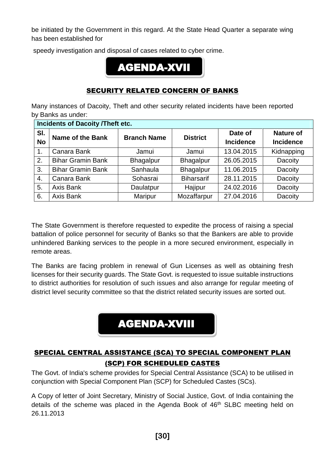be initiated by the Government in this regard. At the State Head Quarter a separate wing has been established for

speedy investigation and disposal of cases related to cyber crime.

## AGENDA-XVII

#### SECURITY RELATED CONCERN OF BANKS

Many instances of Dacoity, Theft and other security related incidents have been reported by Banks as under:

|                  | <b>Incidents of Dacoity /Theft etc.</b> |                    |                   |                             |                                      |  |  |  |  |
|------------------|-----------------------------------------|--------------------|-------------------|-----------------------------|--------------------------------------|--|--|--|--|
| SI.<br><b>No</b> | <b>Name of the Bank</b>                 | <b>Branch Name</b> | <b>District</b>   | Date of<br><b>Incidence</b> | <b>Nature of</b><br><b>Incidence</b> |  |  |  |  |
| 1.               | Canara Bank                             | Jamui              | Jamui             | 13.04.2015                  | Kidnapping                           |  |  |  |  |
| 2.               | <b>Bihar Gramin Bank</b>                | <b>Bhagalpur</b>   | <b>Bhagalpur</b>  | 26.05.2015                  | Dacoity                              |  |  |  |  |
| 3.               | <b>Bihar Gramin Bank</b>                | Sanhaula           | <b>Bhagalpur</b>  | 11.06.2015                  | Dacoity                              |  |  |  |  |
| 4.               | Canara Bank                             | Sohasrai           | <b>Biharsarif</b> | 28.11.2015                  | Dacoity                              |  |  |  |  |
| 5 <sub>1</sub>   | Axis Bank                               | Daulatpur          | Hajipur           | 24.02.2016                  | Dacoity                              |  |  |  |  |
| 6.               | Axis Bank                               | <b>Maripur</b>     | Mozaffarpur       | 27.04.2016                  | Dacoity                              |  |  |  |  |

The State Government is therefore requested to expedite the process of raising a special battalion of police personnel for security of Banks so that the Bankers are able to provide unhindered Banking services to the people in a more secured environment, especially in remote areas.

The Banks are facing problem in renewal of Gun Licenses as well as obtaining fresh licenses for their security guards. The State Govt. is requested to issue suitable instructions to district authorities for resolution of such issues and also arrange for regular meeting of district level security committee so that the district related security issues are sorted out.

## AGENDA-XVIII

## SPECIAL CENTRAL ASSISTANCE (SCA) TO SPECIAL COMPONENT PLAN (SCP) FOR SCHEDULED CASTES

The Govt. of India's scheme provides for Special Central Assistance (SCA) to be utilised in conjunction with Special Component Plan (SCP) for Scheduled Castes (SCs).

A Copy of letter of Joint Secretary, Ministry of Social Justice, Govt. of India containing the details of the scheme was placed in the Agenda Book of 46<sup>th</sup> SLBC meeting held on 26.11.2013